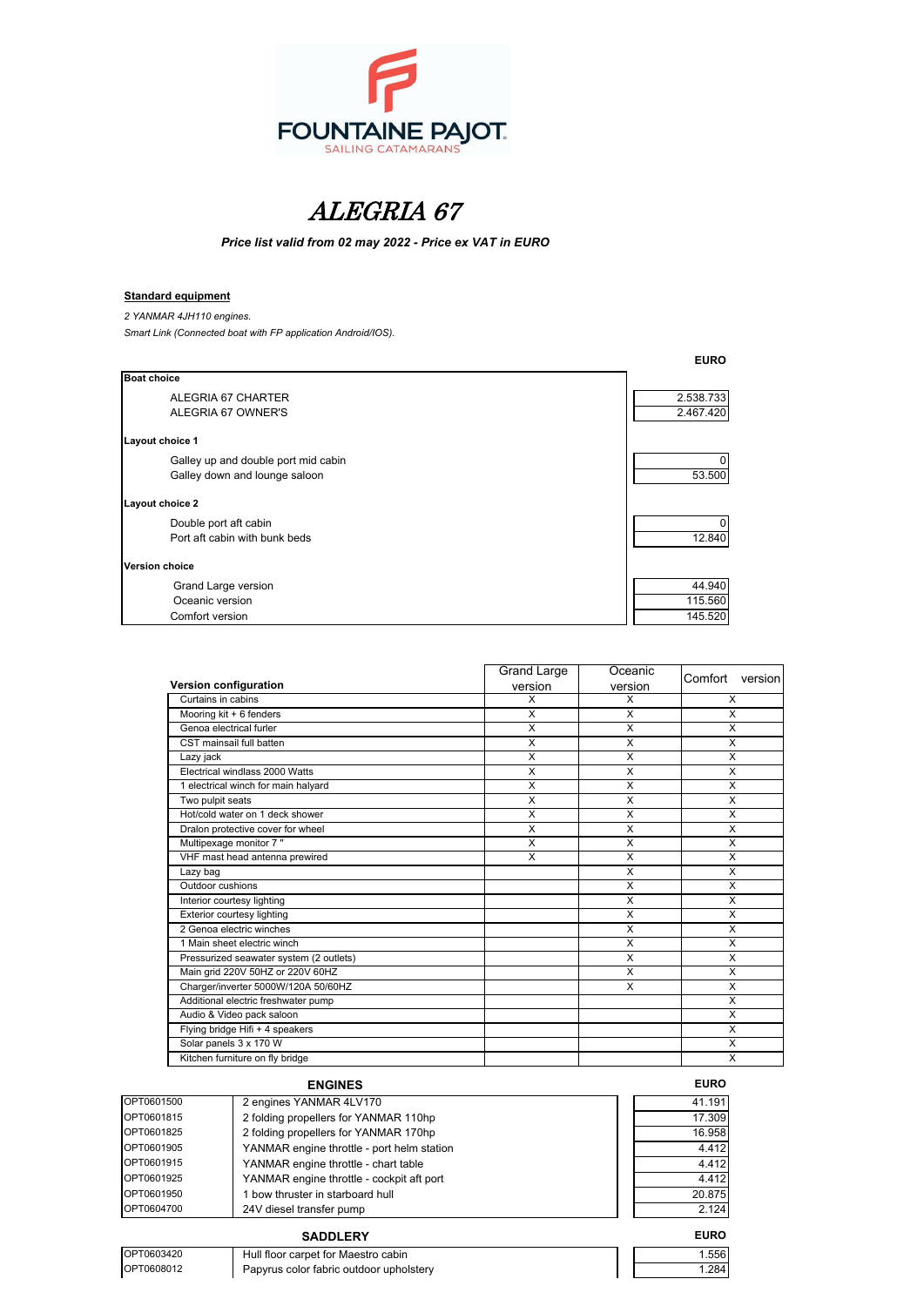

# ALEGRIA 67

*Price list valid from 02 may 2022 - Price ex VAT in EURO*

### **Standard equipment**

*2 YANMAR 4JH110 engines.*

*Smart Link (Connected boat with FP application Android/IOS).*

|                                     | <b>EURO</b> |
|-------------------------------------|-------------|
| <b>Boat choice</b>                  |             |
| ALEGRIA 67 CHARTER                  | 2.538.733   |
| ALEGRIA 67 OWNER'S                  | 2.467.420   |
| Layout choice 1                     |             |
| Galley up and double port mid cabin |             |
| Galley down and lounge saloon       | 53.500      |
| Layout choice 2                     |             |
| Double port aft cabin               |             |
| Port aft cabin with bunk beds       | 12.840      |
| <b>Version choice</b>               |             |
| Grand Large version                 | 44.940      |
| Oceanic version                     | 115.560     |
| Comfort version                     | 145.520     |

|                                         | <b>Grand Large</b> | Oceanic | Comfort version |
|-----------------------------------------|--------------------|---------|-----------------|
| Version configuration                   | version            | version |                 |
| Curtains in cabins                      | X                  | X       | X               |
| Mooring kit + 6 fenders                 | X                  | X       | X               |
| Genoa electrical furler                 | X                  | X       | X               |
| CST mainsail full batten                | X                  | X       | X               |
| Lazy jack                               | X                  | X       | X               |
| Electrical windlass 2000 Watts          | X                  | X       | X               |
| 1 electrical winch for main halyard     | X                  | X       | X               |
| Two pulpit seats                        | X                  | X       | X               |
| Hot/cold water on 1 deck shower         | X                  | X       | X               |
| Dralon protective cover for wheel       | X                  | X       | X               |
| Multipexage monitor 7"                  | X                  | X       | X               |
| VHF mast head antenna prewired          | X                  | X       | X               |
| Lazy bag                                |                    | X       | X               |
| Outdoor cushions                        |                    | X       | X               |
| Interior courtesy lighting              |                    | X       | X               |
| Exterior courtesy lighting              |                    | X       | X               |
| 2 Genoa electric winches                |                    | X       | X               |
| 1 Main sheet electric winch             |                    | X       | X               |
| Pressurized seawater system (2 outlets) |                    | X       | X               |
| Main grid 220V 50HZ or 220V 60HZ        |                    | X       | X               |
| Charger/inverter 5000W/120A 50/60HZ     |                    | X       | X               |
| Additional electric freshwater pump     |                    |         | X               |
| Audio & Video pack saloon               |                    |         | X               |
| Flying bridge Hifi + 4 speakers         |                    |         | X               |
| Solar panels 3 x 170 W                  |                    |         | X               |
| Kitchen furniture on fly bridge         |                    |         | X               |
|                                         |                    |         |                 |

# $ENGINES$

| OPT0601500 | 2 engines YANMAR 4LV170                    | 41.191 |
|------------|--------------------------------------------|--------|
| OPT0601815 | 2 folding propellers for YANMAR 110hp      | 17.309 |
| OPT0601825 | 2 folding propellers for YANMAR 170hp      | 16.958 |
| OPT0601905 | YANMAR engine throttle - port helm station | 4.412  |
| OPT0601915 | YANMAR engine throttle - chart table       | 4.412  |
| OPT0601925 | YANMAR engine throttle - cockpit aft port  | 4.412  |
| OPT0601950 | 1 bow thruster in starboard hull           | 20.875 |
| OPT0604700 | 24V diesel transfer pump                   | 2.124  |

| <b>EURC</b> |
|-------------|
| 41.191      |
| 17.309      |
| 16.958      |
| 4.412       |
| 4.412       |
| 4.412       |
| 20.875      |
| 2.124       |
|             |

### **SADDLERY EURO**

OPT0603420 Hull floor carpet for Maestro cabin<br>
OPT0608012 Papyrus color fabric outdoor upholstery 1.284 Papyrus color fabric outdoor upholstery and the color of the color fabric outdoor upholstery and the color of the color of the color of the color of the color of the color of the color of the color of the color of the colo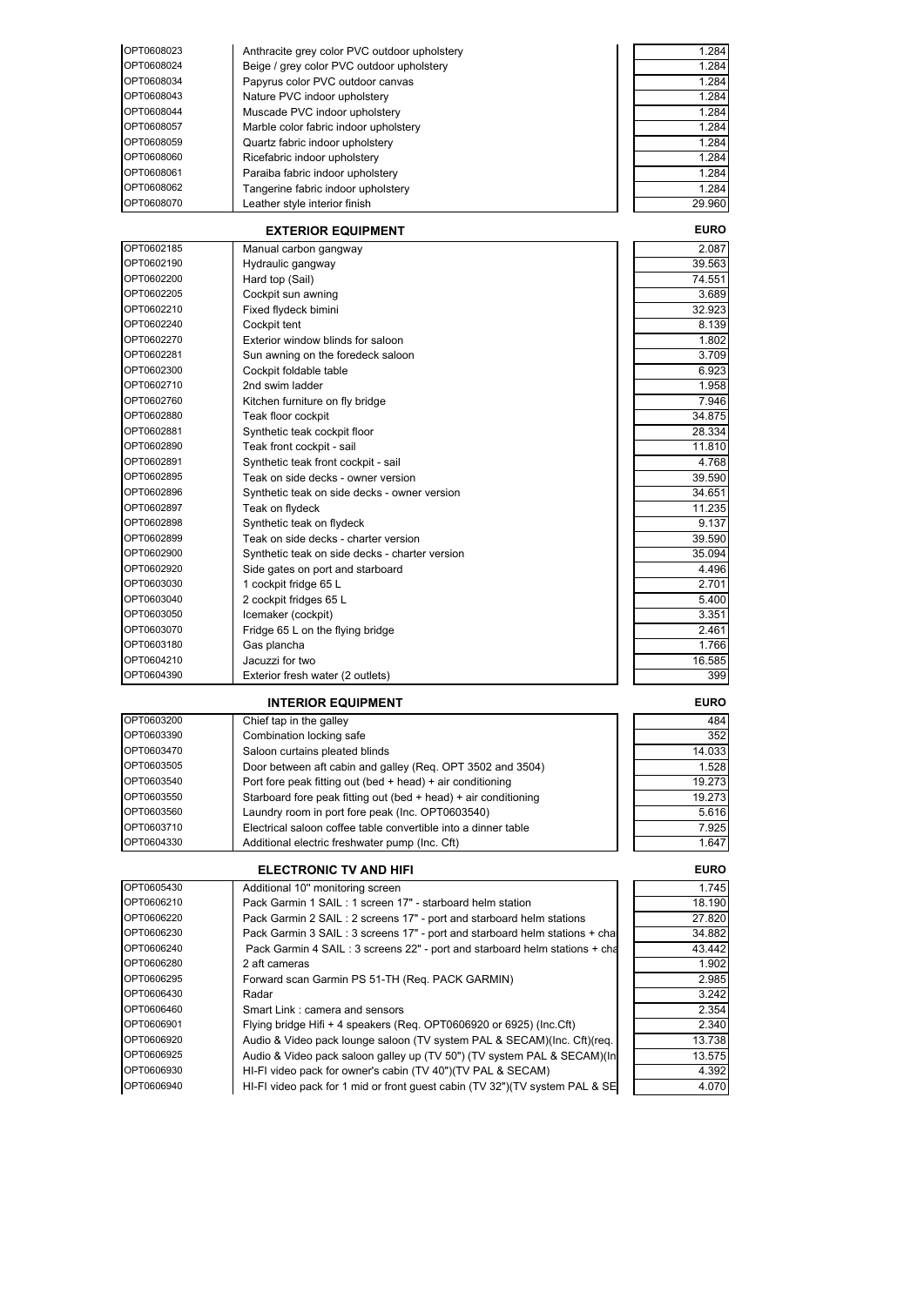| OPT0608023 | Anthracite grey color PVC outdoor upholstery | 1.284  |
|------------|----------------------------------------------|--------|
| OPT0608024 | Beige / grey color PVC outdoor upholstery    | 1.284  |
| OPT0608034 | Papyrus color PVC outdoor canvas             | 1.284  |
| OPT0608043 | Nature PVC indoor upholstery                 | 1.284  |
| OPT0608044 | Muscade PVC indoor upholstery                | 1.284  |
| OPT0608057 | Marble color fabric indoor upholstery        | 1.284  |
| OPT0608059 | Quartz fabric indoor upholstery              | 1.284  |
| OPT0608060 | Ricefabric indoor upholstery                 | 1.284  |
| OPT0608061 | Paraiba fabric indoor upholstery             | 1.284  |
| OPT0608062 | Tangerine fabric indoor upholstery           | 1.284  |
| OPT0608070 | Leather style interior finish                | 29.960 |

| <b>EXTERIOR EQUIPMENT</b> |                                                | <b>EURO</b> |
|---------------------------|------------------------------------------------|-------------|
| OPT0602185                | Manual carbon gangway                          | 2.087       |
| OPT0602190                | Hydraulic gangway                              | 39.563      |
| OPT0602200                | Hard top (Sail)                                | 74.551      |
| OPT0602205                | Cockpit sun awning                             | 3.689       |
| OPT0602210                | Fixed flydeck bimini                           | 32.923      |
| OPT0602240                | Cockpit tent                                   | 8.139       |
| OPT0602270                | Exterior window blinds for saloon              | 1.802       |
| OPT0602281                | Sun awning on the foredeck saloon              | 3.709       |
| OPT0602300                | Cockpit foldable table                         | 6.923       |
| OPT0602710                | 2nd swim ladder                                | 1.958       |
| OPT0602760                | Kitchen furniture on fly bridge                | 7.946       |
| OPT0602880                | Teak floor cockpit                             | 34.875      |
| OPT0602881                | Synthetic teak cockpit floor                   | 28.334      |
| OPT0602890                | Teak front cockpit - sail                      | 11.810      |
| OPT0602891                | Synthetic teak front cockpit - sail            | 4.768       |
| OPT0602895                | Teak on side decks - owner version             | 39.590      |
| OPT0602896                | Synthetic teak on side decks - owner version   | 34.651      |
| OPT0602897                | Teak on flydeck                                | 11.235      |
| OPT0602898                | Synthetic teak on flydeck                      | 9.137       |
| OPT0602899                | Teak on side decks - charter version           | 39.590      |
| OPT0602900                | Synthetic teak on side decks - charter version | 35.094      |
| OPT0602920                | Side gates on port and starboard               | 4.496       |
| OPT0603030                | 1 cockpit fridge 65 L                          | 2.701       |
| OPT0603040                | 2 cockpit fridges 65 L                         | 5.400       |
| OPT0603050                | Icemaker (cockpit)                             | 3.351       |
| OPT0603070                | Fridge 65 L on the flying bridge               | 2.461       |
| OPT0603180                | Gas plancha                                    | 1.766       |
| OPT0604210                | Jacuzzi for two                                | 16.585      |
| OPT0604390                | Exterior fresh water (2 outlets)               | 399         |

## **INTERIOR EQUIPMENT EURO**

| OPT0603200 | Chief tap in the galley                                         | 484    |
|------------|-----------------------------------------------------------------|--------|
| OPT0603390 | Combination locking safe                                        | 352    |
| OPT0603470 | Saloon curtains pleated blinds                                  | 14.033 |
| OPT0603505 | Door between aft cabin and galley (Reg. OPT 3502 and 3504)      | 1.528  |
| OPT0603540 | Port fore peak fitting out (bed + head) + air conditioning      | 19.273 |
| OPT0603550 | Starboard fore peak fitting out (bed + head) + air conditioning | 19.273 |
| OPT0603560 | Laundry room in port fore peak (Inc. OPT0603540)                | 5.616  |
| OPT0603710 | Electrical saloon coffee table convertible into a dinner table  | 7.925  |
| OPT0604330 | Additional electric freshwater pump (Inc. Cft)                  | 1.647  |

### **ELECTRONIC TV AND HIFI EURO**

| OPT0605430 | Additional 10" monitoring screen                                            | 1.745  |
|------------|-----------------------------------------------------------------------------|--------|
| OPT0606210 | Pack Garmin 1 SAIL: 1 screen 17" - starboard helm station                   | 18.190 |
| OPT0606220 | Pack Garmin 2 SAIL: 2 screens 17" - port and starboard helm stations        | 27.820 |
| OPT0606230 | Pack Garmin 3 SAIL: 3 screens 17" - port and starboard helm stations + cha  | 34.882 |
| OPT0606240 | Pack Garmin 4 SAIL: 3 screens 22" - port and starboard helm stations + cha  | 43.442 |
| OPT0606280 | 2 aft cameras                                                               | 1.902  |
| OPT0606295 | Forward scan Garmin PS 51-TH (Req. PACK GARMIN)                             | 2.985  |
| OPT0606430 | Radar                                                                       | 3.242  |
| OPT0606460 | Smart Link: camera and sensors                                              | 2.354  |
| OPT0606901 | Flying bridge Hifi + 4 speakers (Req. OPT0606920 or 6925) (Inc.Cft)         | 2.340  |
| OPT0606920 | Audio & Video pack lounge saloon (TV system PAL & SECAM)(Inc. Cft)(req.     | 13.738 |
| OPT0606925 | Audio & Video pack saloon galley up (TV 50") (TV system PAL & SECAM)(In     | 13.575 |
| OPT0606930 | HI-FI video pack for owner's cabin (TV 40")(TV PAL & SECAM)                 | 4.392  |
| OPT0606940 | HI-FI video pack for 1 mid or front guest cabin (TV 32")(TV system PAL & SE | 4.070  |

| 484    |
|--------|
| 352    |
| 14.033 |
| 1.528  |
| 19 273 |
| 19 273 |
| 5.616  |
| 7.925  |
|        |

| 2.354  |
|--------|
| 2.34   |
| 13.738 |
| 13.575 |
| 4.392  |